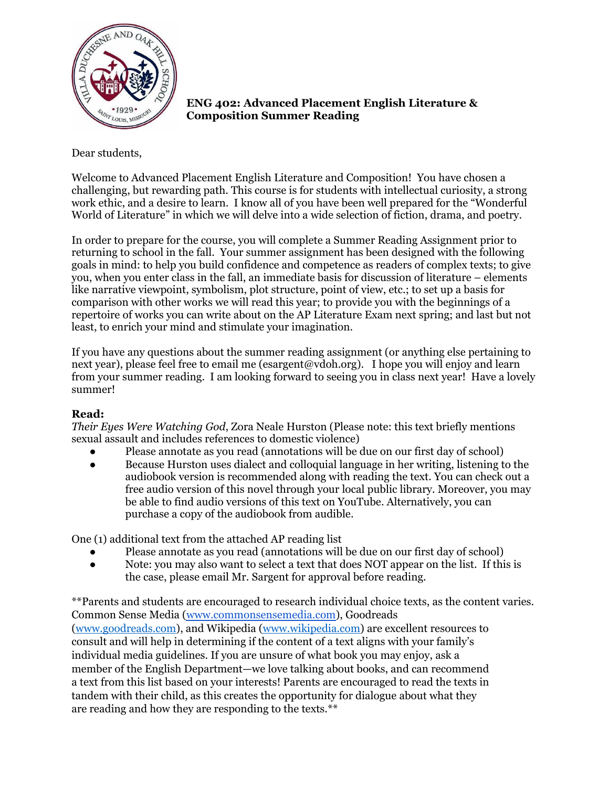

**ENG 402: Advanced Placement English Literature & Composition Summer Reading**

Dear students,

Welcome to Advanced Placement English Literature and Composition! You have chosen a challenging, but rewarding path. This course is for students with intellectual curiosity, a strong work ethic, and a desire to learn. I know all of you have been well prepared for the "Wonderful World of Literature" in which we will delve into a wide selection of fiction, drama, and poetry.

In order to prepare for the course, you will complete a Summer Reading Assignment prior to returning to school in the fall. Your summer assignment has been designed with the following goals in mind: to help you build confidence and competence as readers of complex texts; to give you, when you enter class in the fall, an immediate basis for discussion of literature – elements like narrative viewpoint, symbolism, plot structure, point of view, etc.; to set up a basis for comparison with other works we will read this year; to provide you with the beginnings of a repertoire of works you can write about on the AP Literature Exam next spring; and last but not least, to enrich your mind and stimulate your imagination.

If you have any questions about the summer reading assignment (or anything else pertaining to next year), please feel free to email me (esargent@vdoh.org). I hope you will enjoy and learn from your summer reading. I am looking forward to seeing you in class next year! Have a lovely summer!

## **Read:**

*Their Eyes Were Watching God*, Zora Neale Hurston (Please note: this text briefly mentions sexual assault and includes references to domestic violence)

- Please annotate as you read (annotations will be due on our first day of school)
- Because Hurston uses dialect and colloquial language in her writing, listening to the audiobook version is recommended along with reading the text. You can check out a free audio version of this novel through your local public library. Moreover, you may be able to find audio versions of this text on YouTube. Alternatively, you can purchase a copy of the audiobook from audible.

One (1) additional text from the attached AP reading list

- Please annotate as you read (annotations will be due on our first day of school)
- Note: you may also want to select a text that does NOT appear on the list. If this is the case, please email Mr. Sargent for approval before reading.

\*\*Parents and students are encouraged to research individual choice texts, as the content varies. Common Sense Media [\(www.commonsensemedia.com\)](http://www.commonsensemedia.com), Goodreads [\(www.goodreads.com](http://www.goodreads.com)), and Wikipedia [\(www.wikipedia.com](http://www.wikipedia.com)) are excellent resources to consult and will help in determining if the content of a text aligns with your family's individual media guidelines. If you are unsure of what book you may enjoy, ask a member of the English Department—we love talking about books, and can recommend a text from this list based on your interests! Parents are encouraged to read the texts in tandem with their child, as this creates the opportunity for dialogue about what they are reading and how they are responding to the texts.\*\*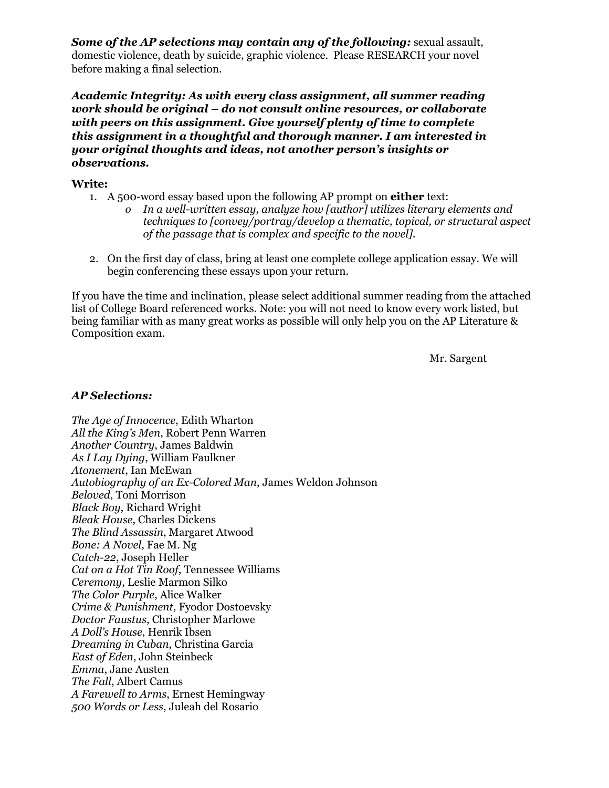*Some of the AP selections may contain any of the following:* sexual assault, domestic violence, death by suicide, graphic violence. Please RESEARCH your novel before making a final selection.

*Academic Integrity: As with every class assignment, all summer reading work should be original – do not consult online resources, or collaborate with peers on this assignment. Give yourself plenty of time to complete this assignment in a thoughtful and thorough manner. I am interested in your original thoughts and ideas, not another person's insights or observations.*

## **Write:**

- 1. A 500-word essay based upon the following AP prompt on **either** text:
	- *o In a well-written essay, analyze how [author] utilizes literary elements and techniques to [convey/portray/develop a thematic, topical, or structural aspect of the passage that is complex and specific to the novel].*
- 2. On the first day of class, bring at least one complete college application essay. We will begin conferencing these essays upon your return.

If you have the time and inclination, please select additional summer reading from the attached list of College Board referenced works. Note: you will not need to know every work listed, but being familiar with as many great works as possible will only help you on the AP Literature & Composition exam.

Mr. Sargent

## *AP Selections:*

*The Age of Innocence*, Edith Wharton *All the King's Men*, Robert Penn Warren *Another Country*, James Baldwin *As I Lay Dying*, William Faulkner *Atonement*, Ian McEwan *Autobiography of an Ex-Colored Man*, James Weldon Johnson *Beloved*, Toni Morrison *Black Boy*, Richard Wright *Bleak House*, Charles Dickens *The Blind Assassin*, Margaret Atwood *Bone: A Novel*, Fae M. Ng *Catch-22*, Joseph Heller *Cat on a Hot Tin Roof*, Tennessee Williams *Ceremony*, Leslie Marmon Silko *The Color Purple*, Alice Walker *Crime & Punishment*, Fyodor Dostoevsky *Doctor Faustus*, Christopher Marlowe *A Doll's House*, Henrik Ibsen *Dreaming in Cuban*, Christina Garcia *East of Eden*, John Steinbeck *Emma*, Jane Austen *The Fall*, Albert Camus *A Farewell to Arms*, Ernest Hemingway *500 Words or Less*, Juleah del Rosario